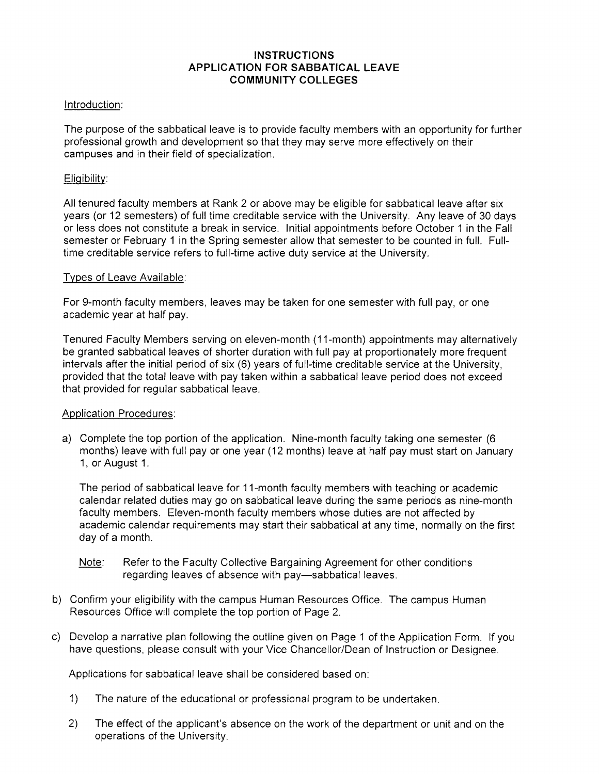# **INSTRUCTIONS APPLICATION FOR SABBATICAL LEAVE COMMUNITY COLLEGES**

### Introduction:

The purpose of the sabbatical leave is to provide faculty members with an opportunity for further professional growth and development so that they may serve more effectively on their campuses and in their field of specialization.

### Eligibility:

All tenured faculty members at Rank 2 or above may be eligible for sabbatical leave after six years (or 12 semesters) of full time creditable service with the University. Any leave of 30 days or less does not constitute a break in service. Initial appointments before October 1 in the Fall semester or February 1 in the Spring semester allow that semester to be counted in full. Fulltime creditable service refers to full-time active duty service at the University.

## Types of Leave Available:

For 9-month faculty members, leaves may be taken for one semester with full pay, or one academic year at half pay.

Tenured Faculty Members serving on eleven-month (11-month) appointments may alternatively be granted sabbatical leaves of shorter duration with full pay at proportionately more frequent intervals after the initial period of six (6) years of full-time creditable service at the University, provided that the total leave with pay taken within a sabbatical leave period does not exceed that provided for regular sabbatical leave.

#### Application Procedures:

a) Complete the top portion of the application. Nine-month faculty taking one semester (6 months) leave with full pay or one year (12 months) leave at half pay must start on January 1, or August 1.

The period of sabbatical leave for 11-month faculty members with teaching or academic calendar related duties may go on sabbatical leave during the same periods as nine-month faculty members. Eleven-month faculty members whose duties are not affected by academic calendar requirements may start their sabbatical at any time, normally on the first day of a month.

- Note: Refer to the Faculty Collective Bargaining Agreement for other conditions regarding leaves of absence with pay-sabbatical leaves.
- b) Confirm your eligibility with the campus Human Resources Office. The campus Human Resources Office will complete the top portion of Page 2.
- c) Develop a narrative plan following the outline given on Page 1 of the Application Form. If you have questions, please consult with your Vice Chancellor/Dean of Instruction or Designee.

Applications for sabbatical leave shall be considered based on:

- 1) The nature of the educational or professional program to be undertaken.
- 2) The effect of the applicant's absence on the work of the department or unit and on the operations of the University.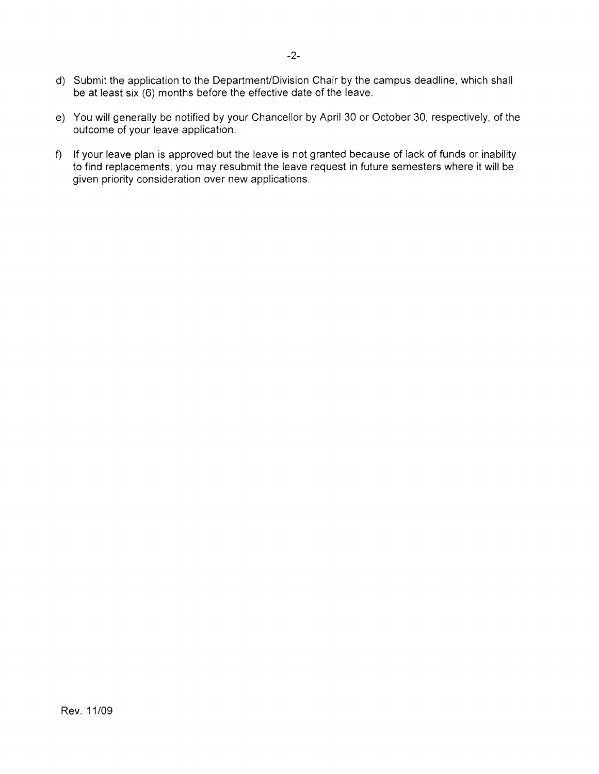- d) Submit the application to the Department/Division Chair by the campus deadline, which shall be at least six (6) months before the effective date of the leave.
- e) You will generally be notified by your Chancellor by April 30 or October 30, respectively, of the outcome of your leave application.
- f) If your leave plan is approved but the leave is not granted because of lack of funds or inability to find replacements, you may resubmit the leave request in future semesters where it will be given priority consideration over new applications.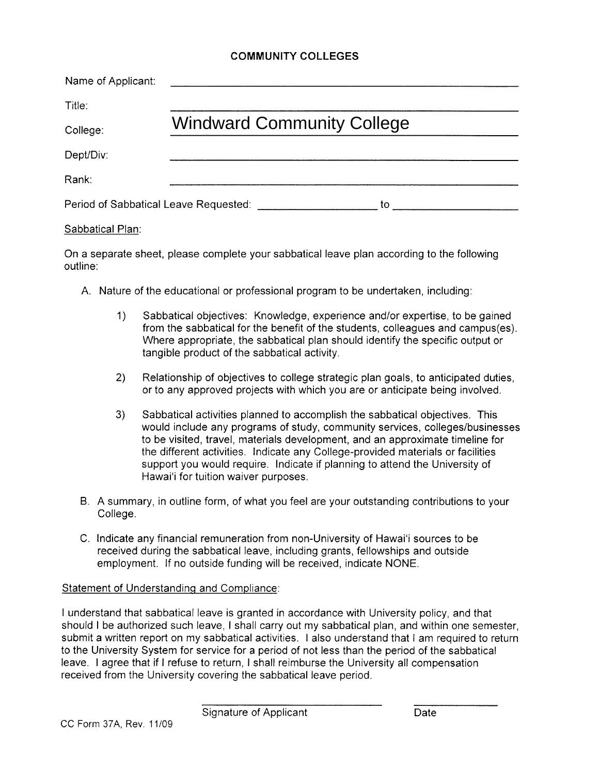## **COMMUNITY COLLEGES**

| Name of Applicant: |                                             |
|--------------------|---------------------------------------------|
| Title:             |                                             |
| College:           | <b>Windward Community College</b>           |
| Dept/Div:          |                                             |
| Rank:              |                                             |
|                    | Period of Sabbatical Leave Requested:<br>to |

#### Sabbatical Plan:

On a separate sheet, please complete your sabbatical leave plan according to the following outline:

- A. Nature of the educational or professional program to be undertaken, including:
	- 1) Sabbatical objectives: Knowledge, experience and/or expertise, to be gained from the sabbatical for the benefit of the students, colleagues and campus(es). Where appropriate, the sabbatical plan should identify the specific output or tangible product of the sabbatical activity.
	- 2) Relationship of objectives to college strategic plan goals, to anticipated duties, or to any approved projects with which you are or anticipate being involved.
	- 3) Sabbatical activities planned to accomplish the sabbatical objectives. This would include any programs of study, community services, colleges/businesses to be visited, travel, materials development, and an approximate timeline for the different activities. Indicate any College-provided materials or facilities support you would require. Indicate if planning to attend the University of Hawai'i for tuition waiver purposes.
- B. A summary, in outline form, of what you feel are your outstanding contributions to your College.
- C. Indicate any financial remuneration from non-University of Hawai'i sources to be received during the sabbatical leave, including grants, fellowships and outside employment. If no outside funding will be received, indicate NONE.

#### Statement of Understanding and Compliance:

I understand that sabbatical leave is granted in accordance with University policy, and that should I be authorized such leave, I shall carry out my sabbatical plan, and within one semester, submit a written report on my sabbatical activities. I also understand that I am required to return to the University System for service for a period of not less than the period of the sabbatical leave. I agree that if I refuse to return, I shall reimburse the University all compensation received from the University covering the sabbatical leave period.